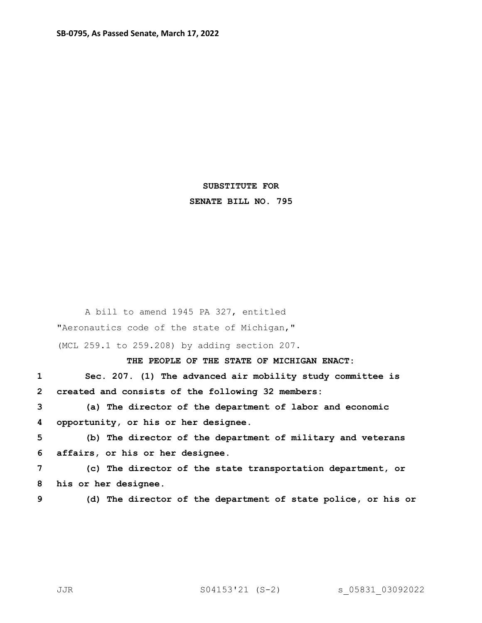## **SUBSTITUTE FOR SENATE BILL NO. 795**

A bill to amend 1945 PA 327, entitled "Aeronautics code of the state of Michigan," (MCL 259.1 to 259.208) by adding section 207.

**THE PEOPLE OF THE STATE OF MICHIGAN ENACT:**

**1 Sec. 207. (1) The advanced air mobility study committee is 2 created and consists of the following 32 members:**

**3 (a) The director of the department of labor and economic 4 opportunity, or his or her designee.**

**5 (b) The director of the department of military and veterans 6 affairs, or his or her designee.**

**7 (c) The director of the state transportation department, or 8 his or her designee.**

**9 (d) The director of the department of state police, or his or**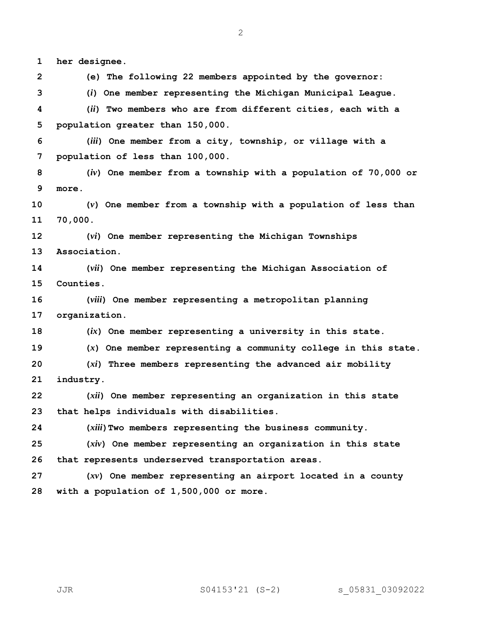**her designee.**

**(e) The following 22 members appointed by the governor:**

**(***i***) One member representing the Michigan Municipal League.**

 **(***ii***) Two members who are from different cities, each with a population greater than 150,000.**

 **(***iii***) One member from a city, township, or village with a population of less than 100,000.**

 **(***iv***) One member from a township with a population of 70,000 or more.**

 **(***v***) One member from a township with a population of less than 70,000.**

 **(***vi***) One member representing the Michigan Townships Association.**

 **(***vii***) One member representing the Michigan Association of Counties.**

 **(***viii***) One member representing a metropolitan planning organization.**

**(***ix***) One member representing a university in this state.**

**(***x***) One member representing a community college in this state.**

 **(***xi***) Three members representing the advanced air mobility industry.**

 **(***xii***) One member representing an organization in this state that helps individuals with disabilities.**

**(***xiii***)Two members representing the business community.**

 **(***xiv***) One member representing an organization in this state that represents underserved transportation areas.**

 **(***xv***) One member representing an airport located in a county with a population of 1,500,000 or more.**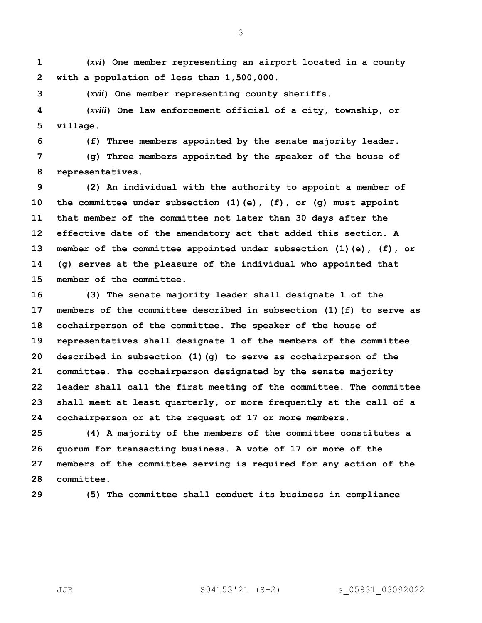**(***xvi***) One member representing an airport located in a county with a population of less than 1,500,000.**

**(***xvii***) One member representing county sheriffs.**

 **(***xviii***) One law enforcement official of a city, township, or village.**

**(f) Three members appointed by the senate majority leader.**

 **(g) Three members appointed by the speaker of the house of representatives.**

 **(2) An individual with the authority to appoint a member of the committee under subsection (1)(e), (f), or (g) must appoint that member of the committee not later than 30 days after the effective date of the amendatory act that added this section. A member of the committee appointed under subsection (1)(e), (f), or (g) serves at the pleasure of the individual who appointed that member of the committee.**

 **(3) The senate majority leader shall designate 1 of the members of the committee described in subsection (1)(f) to serve as cochairperson of the committee. The speaker of the house of representatives shall designate 1 of the members of the committee described in subsection (1)(g) to serve as cochairperson of the committee. The cochairperson designated by the senate majority leader shall call the first meeting of the committee. The committee shall meet at least quarterly, or more frequently at the call of a cochairperson or at the request of 17 or more members.**

 **(4) A majority of the members of the committee constitutes a quorum for transacting business. A vote of 17 or more of the members of the committee serving is required for any action of the committee.**

**(5) The committee shall conduct its business in compliance** 

JJR S04153'21 (S-2) s\_05831\_03092022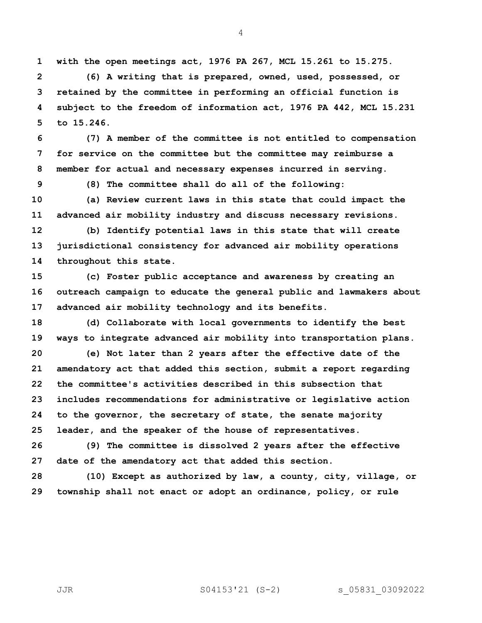**with the open meetings act, 1976 PA 267, MCL 15.261 to 15.275.**

 **(6) A writing that is prepared, owned, used, possessed, or retained by the committee in performing an official function is subject to the freedom of information act, 1976 PA 442, MCL 15.231 to 15.246.**

 **(7) A member of the committee is not entitled to compensation for service on the committee but the committee may reimburse a member for actual and necessary expenses incurred in serving.**

**(8) The committee shall do all of the following:**

 **(a) Review current laws in this state that could impact the advanced air mobility industry and discuss necessary revisions.**

 **(b) Identify potential laws in this state that will create jurisdictional consistency for advanced air mobility operations throughout this state.**

 **(c) Foster public acceptance and awareness by creating an outreach campaign to educate the general public and lawmakers about advanced air mobility technology and its benefits.**

 **(d) Collaborate with local governments to identify the best ways to integrate advanced air mobility into transportation plans. (e) Not later than 2 years after the effective date of the amendatory act that added this section, submit a report regarding the committee's activities described in this subsection that includes recommendations for administrative or legislative action to the governor, the secretary of state, the senate majority leader, and the speaker of the house of representatives.**

 **(9) The committee is dissolved 2 years after the effective date of the amendatory act that added this section.**

 **(10) Except as authorized by law, a county, city, village, or township shall not enact or adopt an ordinance, policy, or rule**